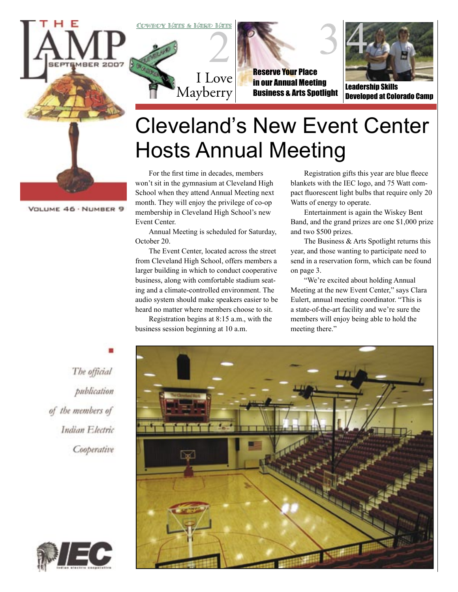





Reserve Your Place in our Annual Meeting Business & Arts Spotlight



Leadership Skills Developed at Colorado Camp

## Cleveland's New Event Center Hosts Annual Meeting

For the first time in decades, members won't sit in the gymnasium at Cleveland High School when they attend Annual Meeting next month. They will enjoy the privilege of co-op membership in Cleveland High School's new Event Center.

I Love

Mayberry

Annual Meeting is scheduled for Saturday, October 20.

The Event Center, located across the street from Cleveland High School, offers members a larger building in which to conduct cooperative business, along with comfortable stadium seating and a climate-controlled environment. The audio system should make speakers easier to be heard no matter where members choose to sit.

Registration begins at 8:15 a.m., with the business session beginning at 10 a.m.

Registration gifts this year are blue fleece blankets with the IEC logo, and 75 Watt compact fluorescent light bulbs that require only 20 Watts of energy to operate.

Entertainment is again the Wiskey Bent Band, and the grand prizes are one \$1,000 prize and two \$500 prizes.

The Business & Arts Spotlight returns this year, and those wanting to participate need to send in a reservation form, which can be found on page 3.

"We're excited about holding Annual Meeting at the new Event Center," says Clara Eulert, annual meeting coordinator. "This is a state-of-the-art facility and we're sure the members will enjoy being able to hold the meeting there."

The official publication of the members of Indian Electric Cooperative





VOLUME 46 · NUMBER 9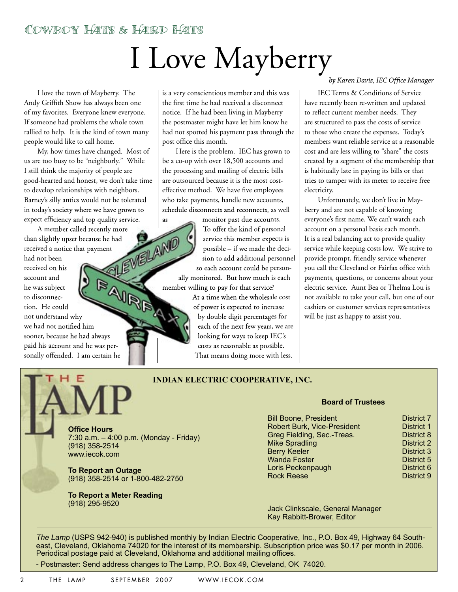# I Love Mayberry

I love the town of Mayberry. The Andy Griffith Show has always been one of my favorites. Everyone knew everyone. If someone had problems the whole town rallied to help. It is the kind of town many people would like to call home.

My, how times have changed. Most of us are too busy to be "neighborly." While I still think the majority of people are good-hearted and honest, we don't take time to develop relationships with neighbors. Barney's silly antics would not be tolerated in today's society where we have grown to expect efficiency and top quality service. **EXECUTE AND CONVERTS AND**<br>
The current and the community of the Community of the Community of the Community of the Community of the Community of the Community of the Community of the Community of the Community of the Com

A member called recently more<br>slightly upset because he had<br>wed a notice that payment<br>not been<br>wed on his than slightly upset because he had received a notice that payment

had not been received on his account and he was subject to disconnection. He could not understand why account a...<br>
to disconnection. He could<br>
not understand why<br>
we had not notified him sooner, because he had always paid his account and he was personally offended. I am certain he

is a very conscientious member and this was the first time he had received a disconnect notice. If he had been living in Mayberry the postmaster might have let him know he had not spotted his payment pass through the post office this month.

Here is the problem. IEC has grown to be a co-op with over 18,500 accounts and the processing and mailing of electric bills are outsourced because it is the most costeffective method. We have five employees who take payments, handle new accounts, schedule disconnects and reconnects, as well

as monitor past due accounts. To offer the kind of personal service this member expects is possible – if we made the decision to add additional personnel so each account could be person-

ally monitored. But how much is each member willing to pay for that service?

> At a time when the wholesale cost of power is expected to increase by double digit percentages for each of the next few years, we are looking for ways to keep IEC's costs as reasonable as possible. That means doing more with less.

#### $by$  Karen Davis, IEC Office Manager

IEC Terms & Conditions of Service have recently been re-written and updated to reflect current member needs. They are structured to pass the costs of service to those who create the expenses. Today's members want reliable service at a reasonable cost and are less willing to "share" the costs created by a segment of the membership that is habitually late in paying its bills or that tries to tamper with its meter to receive free electricity.

Unfortunately, we don't live in Mayberry and are not capable of knowing everyone's first name. We can't watch each account on a personal basis each month. It is a real balancing act to provide quality service while keeping costs low. We strive to provide prompt, friendly service whenever you call the Cleveland or Fairfax office with payments, questions, or concerns about your electric service. Aunt Bea or Thelma Lou is not available to take your call, but one of our cashiers or customer services representatives will be just as happy to assist you.

# E

#### **INDIAN ELECTRIC COOPERATIVE, INC.**

#### **Board of Trustees**

| <b>Office Hours</b>                       |  |
|-------------------------------------------|--|
| 7:30 a.m. $-$ 4:00 p.m. (Monday - Friday) |  |
| (918) 358-2514                            |  |
| www.iecok.com                             |  |
|                                           |  |

**To Report an Outage** (918) 358-2514 or 1-800-482-2750

**To Report a Meter Reading**  (918) 295-9520

Bill Boone, President **District 7**<br>Robert Burk. Vice-President **District 1** Robert Burk, Vice-President **District 1**<br>Greg Fielding, Sec.-Treas. **District 8** Greg Fielding, Sec.-Treas. Communist Construct 8<br>Mike Spradling Mike Spradling Mike Spradling Berry Keeler North States and District 3<br>19 November 2016 1991 - District 5 Wanda Foster District 5 Loris Peckenpaugh District 6<br>
Rock Reese District 9 **Rock Reese** 

Jack Clinkscale, General Manager Kay Rabbitt-Brower, Editor

*The Lamp* (USPS 942-940) is published monthly by Indian Electric Cooperative, Inc., P.O. Box 49, Highway 64 Southeast, Cleveland, Oklahoma 74020 for the interest of its membership. Subscription price was \$0.17 per month in 2006. Periodical postage paid at Cleveland, Oklahoma and additional mailing offices.

- Postmaster: Send address changes to The Lamp, P.O. Box 49, Cleveland, OK 74020.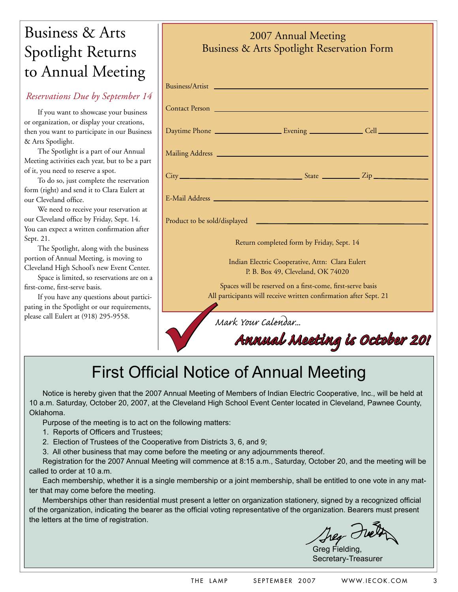### Business & Arts Spotlight Returns to Annual Meeting

#### *Reservations Due by September 14*

If you want to showcase your business or organization, or display your creations, then you want to participate in our Business & Arts Spotlight.

The Spotlight is a part of our Annual Meeting activities each year, but to be a part of it, you need to reserve a spot.

To do so, just complete the reservation form (right) and send it to Clara Eulert at our Cleveland office.

We need to receive your reservation at our Cleveland office by Friday, Sept. 14. You can expect a written confirmation after Sept. 21.

The Spotlight, along with the business portion of Annual Meeting, is moving to Cleveland High School's new Event Center.

Space is limited, so reservations are on a first-come, first-serve basis.

If you have any questions about participating in the Spotlight or our requirements, pating in the Spotlight or our requirements,<br>please call Eulert at (918) 295-9558.<br>**Mark Your Calendar...**<br>**First Official Notice of Annual** 

### Business & Arts Spotlight Reservation Form Business/Artist Contact Person Daytime Phone Evening Cell Mailing Address  $City$ <sub>\_\_\_\_</sub> E-Mail Address State Zip

2007 Annual Meeting

Product to be sold/displayed

Return completed form by Friday, Sept. 14

Indian Electric Cooperative, Attn: Clara Eulert P. B. Box 49, Cleveland, OK 74020

Spaces will be reserved on a first-come, first-serve basis All participants will receive written confirmation after Sept. 21

Annual Meeting is October 20!

### First Official Notice of Annual Meeting

Notice is hereby given that the 2007 Annual Meeting of Members of Indian Electric Cooperative, Inc., will be held at 10 a.m. Saturday, October 20, 2007, at the Cleveland High School Event Center located in Cleveland, Pawnee County, Oklahoma.

Purpose of the meeting is to act on the following matters:

- 1. Reports of Officers and Trustees;
- 2. Election of Trustees of the Cooperative from Districts 3, 6, and 9;
- 3. All other business that may come before the meeting or any adjournments thereof.

Registration for the 2007 Annual Meeting will commence at 8:15 a.m., Saturday, October 20, and the meeting will be called to order at 10 a.m.

Each membership, whether it is a single membership or a joint membership, shall be entitled to one vote in any matter that may come before the meeting.

Memberships other than residential must present a letter on organization stationery, signed by a recognized official of the organization, indicating the bearer as the official voting representative of the organization. Bearers must present the letters at the time of registration.

Greg Fielding, Secretary-Treasurer